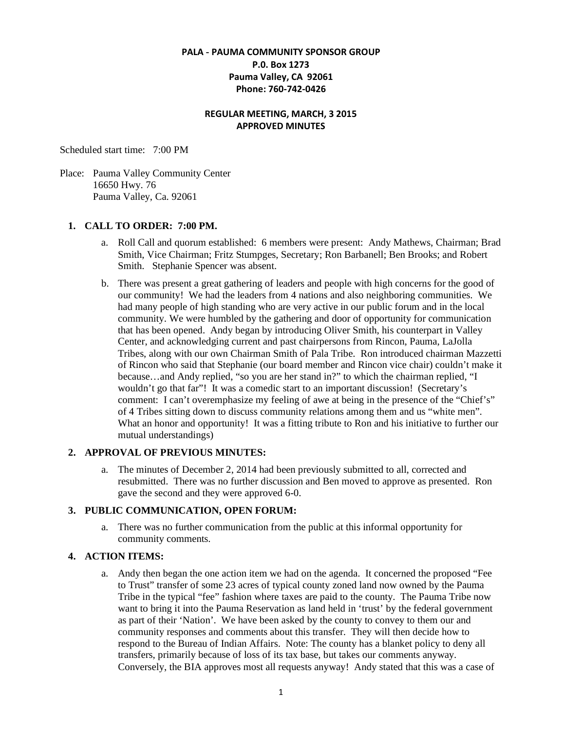### **PALA - PAUMA COMMUNITY SPONSOR GROUP P.0. Box 1273 Pauma Valley, CA 92061 Phone: 760-742-0426**

### **REGULAR MEETING, MARCH, 3 2015 APPROVED MINUTES**

Scheduled start time: 7:00 PM

Place: Pauma Valley Community Center 16650 Hwy. 76 Pauma Valley, Ca. 92061

### **1. CALL TO ORDER: 7:00 PM.**

- a. Roll Call and quorum established: 6 members were present: Andy Mathews, Chairman; Brad Smith, Vice Chairman; Fritz Stumpges, Secretary; Ron Barbanell; Ben Brooks; and Robert Smith. Stephanie Spencer was absent.
- b. There was present a great gathering of leaders and people with high concerns for the good of our community! We had the leaders from 4 nations and also neighboring communities. We had many people of high standing who are very active in our public forum and in the local community. We were humbled by the gathering and door of opportunity for communication that has been opened. Andy began by introducing Oliver Smith, his counterpart in Valley Center, and acknowledging current and past chairpersons from Rincon, Pauma, LaJolla Tribes, along with our own Chairman Smith of Pala Tribe. Ron introduced chairman Mazzetti of Rincon who said that Stephanie (our board member and Rincon vice chair) couldn't make it because…and Andy replied, "so you are her stand in?" to which the chairman replied, "I wouldn't go that far"! It was a comedic start to an important discussion! (Secretary's comment: I can't overemphasize my feeling of awe at being in the presence of the "Chief's" of 4 Tribes sitting down to discuss community relations among them and us "white men". What an honor and opportunity! It was a fitting tribute to Ron and his initiative to further our mutual understandings)

#### **2. APPROVAL OF PREVIOUS MINUTES:**

a. The minutes of December 2, 2014 had been previously submitted to all, corrected and resubmitted. There was no further discussion and Ben moved to approve as presented. Ron gave the second and they were approved 6-0.

### **3. PUBLIC COMMUNICATION, OPEN FORUM:**

a. There was no further communication from the public at this informal opportunity for community comments.

### **4. ACTION ITEMS:**

a. Andy then began the one action item we had on the agenda. It concerned the proposed "Fee to Trust" transfer of some 23 acres of typical county zoned land now owned by the Pauma Tribe in the typical "fee" fashion where taxes are paid to the county. The Pauma Tribe now want to bring it into the Pauma Reservation as land held in 'trust' by the federal government as part of their 'Nation'. We have been asked by the county to convey to them our and community responses and comments about this transfer. They will then decide how to respond to the Bureau of Indian Affairs. Note: The county has a blanket policy to deny all transfers, primarily because of loss of its tax base, but takes our comments anyway. Conversely, the BIA approves most all requests anyway! Andy stated that this was a case of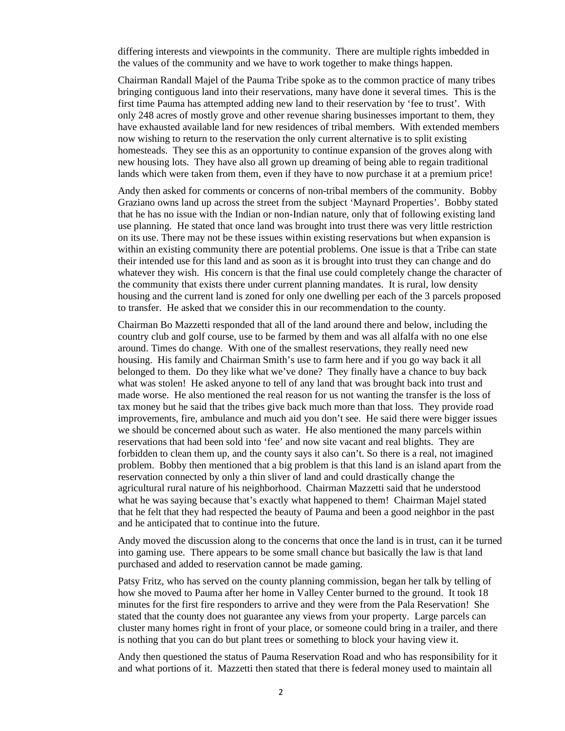differing interests and viewpoints in the community. There are multiple rights imbedded in the values of the community and we have to work together to make things happen.

Chairman Randall Majel of the Pauma Tribe spoke as to the common practice of many tribes bringing contiguous land into their reservations, many have done it several times. This is the first time Pauma has attempted adding new land to their reservation by 'fee to trust'. With only 248 acres of mostly grove and other revenue sharing businesses important to them, they have exhausted available land for new residences of tribal members. With extended members now wishing to return to the reservation the only current alternative is to split existing homesteads. They see this as an opportunity to continue expansion of the groves along with new housing lots. They have also all grown up dreaming of being able to regain traditional lands which were taken from them, even if they have to now purchase it at a premium price!

Andy then asked for comments or concerns of non-tribal members of the community. Bobby Graziano owns land up across the street from the subject 'Maynard Properties'. Bobby stated that he has no issue with the Indian or non-Indian nature, only that of following existing land use planning. He stated that once land was brought into trust there was very little restriction on its use. There may not be these issues within existing reservations but when expansion is within an existing community there are potential problems. One issue is that a Tribe can state their intended use for this land and as soon as it is brought into trust they can change and do whatever they wish. His concern is that the final use could completely change the character of the community that exists there under current planning mandates. It is rural, low density housing and the current land is zoned for only one dwelling per each of the 3 parcels proposed to transfer. He asked that we consider this in our recommendation to the county.

Chairman Bo Mazzetti responded that all of the land around there and below, including the country club and golf course, use to be farmed by them and was all alfalfa with no one else around. Times do change. With one of the smallest reservations, they really need new housing. His family and Chairman Smith's use to farm here and if you go way back it all belonged to them. Do they like what we've done? They finally have a chance to buy back what was stolen! He asked anyone to tell of any land that was brought back into trust and made worse. He also mentioned the real reason for us not wanting the transfer is the loss of tax money but he said that the tribes give back much more than that loss. They provide road improvements, fire, ambulance and much aid you don't see. He said there were bigger issues we should be concerned about such as water. He also mentioned the many parcels within reservations that had been sold into 'fee' and now site vacant and real blights. They are forbidden to clean them up, and the county says it also can't. So there is a real, not imagined problem. Bobby then mentioned that a big problem is that this land is an island apart from the reservation connected by only a thin sliver of land and could drastically change the agricultural rural nature of his neighborhood. Chairman Mazzetti said that he understood what he was saying because that's exactly what happened to them! Chairman Majel stated that he felt that they had respected the beauty of Pauma and been a good neighbor in the past and he anticipated that to continue into the future.

Andy moved the discussion along to the concerns that once the land is in trust, can it be turned into gaming use. There appears to be some small chance but basically the law is that land purchased and added to reservation cannot be made gaming.

Patsy Fritz, who has served on the county planning commission, began her talk by telling of how she moved to Pauma after her home in Valley Center burned to the ground. It took 18 minutes for the first fire responders to arrive and they were from the Pala Reservation! She stated that the county does not guarantee any views from your property. Large parcels can cluster many homes right in front of your place, or someone could bring in a trailer, and there is nothing that you can do but plant trees or something to block your having view it.

Andy then questioned the status of Pauma Reservation Road and who has responsibility for it and what portions of it. Mazzetti then stated that there is federal money used to maintain all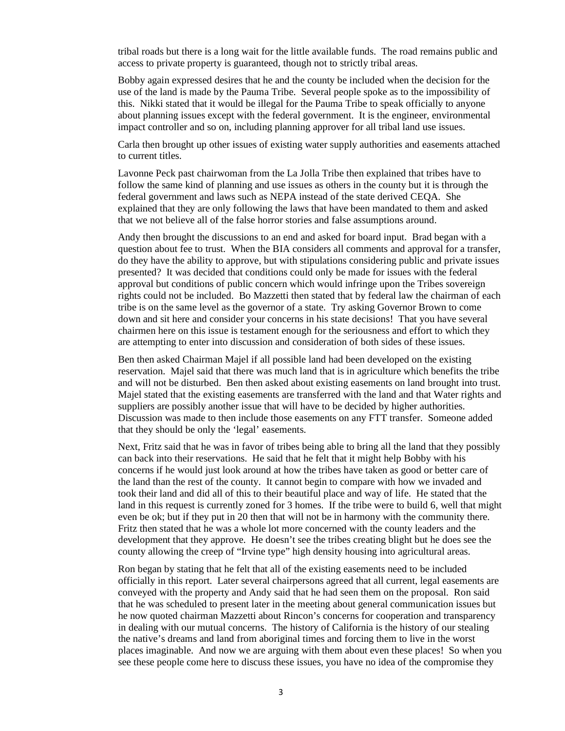tribal roads but there is a long wait for the little available funds. The road remains public and access to private property is guaranteed, though not to strictly tribal areas.

Bobby again expressed desires that he and the county be included when the decision for the use of the land is made by the Pauma Tribe. Several people spoke as to the impossibility of this. Nikki stated that it would be illegal for the Pauma Tribe to speak officially to anyone about planning issues except with the federal government. It is the engineer, environmental impact controller and so on, including planning approver for all tribal land use issues.

Carla then brought up other issues of existing water supply authorities and easements attached to current titles.

Lavonne Peck past chairwoman from the La Jolla Tribe then explained that tribes have to follow the same kind of planning and use issues as others in the county but it is through the federal government and laws such as NEPA instead of the state derived CEQA. She explained that they are only following the laws that have been mandated to them and asked that we not believe all of the false horror stories and false assumptions around.

Andy then brought the discussions to an end and asked for board input. Brad began with a question about fee to trust. When the BIA considers all comments and approval for a transfer, do they have the ability to approve, but with stipulations considering public and private issues presented? It was decided that conditions could only be made for issues with the federal approval but conditions of public concern which would infringe upon the Tribes sovereign rights could not be included. Bo Mazzetti then stated that by federal law the chairman of each tribe is on the same level as the governor of a state. Try asking Governor Brown to come down and sit here and consider your concerns in his state decisions! That you have several chairmen here on this issue is testament enough for the seriousness and effort to which they are attempting to enter into discussion and consideration of both sides of these issues.

Ben then asked Chairman Majel if all possible land had been developed on the existing reservation. Majel said that there was much land that is in agriculture which benefits the tribe and will not be disturbed. Ben then asked about existing easements on land brought into trust. Majel stated that the existing easements are transferred with the land and that Water rights and suppliers are possibly another issue that will have to be decided by higher authorities. Discussion was made to then include those easements on any FTT transfer. Someone added that they should be only the 'legal' easements.

Next, Fritz said that he was in favor of tribes being able to bring all the land that they possibly can back into their reservations. He said that he felt that it might help Bobby with his concerns if he would just look around at how the tribes have taken as good or better care of the land than the rest of the county. It cannot begin to compare with how we invaded and took their land and did all of this to their beautiful place and way of life. He stated that the land in this request is currently zoned for 3 homes. If the tribe were to build 6, well that might even be ok; but if they put in 20 then that will not be in harmony with the community there. Fritz then stated that he was a whole lot more concerned with the county leaders and the development that they approve. He doesn't see the tribes creating blight but he does see the county allowing the creep of "Irvine type" high density housing into agricultural areas.

Ron began by stating that he felt that all of the existing easements need to be included officially in this report. Later several chairpersons agreed that all current, legal easements are conveyed with the property and Andy said that he had seen them on the proposal. Ron said that he was scheduled to present later in the meeting about general communication issues but he now quoted chairman Mazzetti about Rincon's concerns for cooperation and transparency in dealing with our mutual concerns. The history of California is the history of our stealing the native's dreams and land from aboriginal times and forcing them to live in the worst places imaginable. And now we are arguing with them about even these places! So when you see these people come here to discuss these issues, you have no idea of the compromise they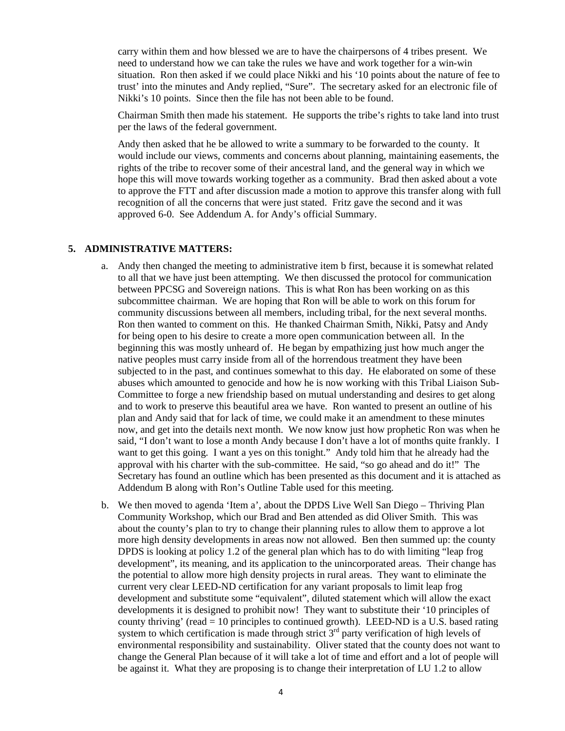carry within them and how blessed we are to have the chairpersons of 4 tribes present. We need to understand how we can take the rules we have and work together for a win-win situation. Ron then asked if we could place Nikki and his '10 points about the nature of fee to trust' into the minutes and Andy replied, "Sure". The secretary asked for an electronic file of Nikki's 10 points. Since then the file has not been able to be found.

Chairman Smith then made his statement. He supports the tribe's rights to take land into trust per the laws of the federal government.

Andy then asked that he be allowed to write a summary to be forwarded to the county. It would include our views, comments and concerns about planning, maintaining easements, the rights of the tribe to recover some of their ancestral land, and the general way in which we hope this will move towards working together as a community. Brad then asked about a vote to approve the FTT and after discussion made a motion to approve this transfer along with full recognition of all the concerns that were just stated. Fritz gave the second and it was approved 6-0. See Addendum A. for Andy's official Summary.

#### **5. ADMINISTRATIVE MATTERS:**

- a. Andy then changed the meeting to administrative item b first, because it is somewhat related to all that we have just been attempting. We then discussed the protocol for communication between PPCSG and Sovereign nations. This is what Ron has been working on as this subcommittee chairman. We are hoping that Ron will be able to work on this forum for community discussions between all members, including tribal, for the next several months. Ron then wanted to comment on this. He thanked Chairman Smith, Nikki, Patsy and Andy for being open to his desire to create a more open communication between all. In the beginning this was mostly unheard of. He began by empathizing just how much anger the native peoples must carry inside from all of the horrendous treatment they have been subjected to in the past, and continues somewhat to this day. He elaborated on some of these abuses which amounted to genocide and how he is now working with this Tribal Liaison Sub-Committee to forge a new friendship based on mutual understanding and desires to get along and to work to preserve this beautiful area we have. Ron wanted to present an outline of his plan and Andy said that for lack of time, we could make it an amendment to these minutes now, and get into the details next month. We now know just how prophetic Ron was when he said, "I don't want to lose a month Andy because I don't have a lot of months quite frankly. I want to get this going. I want a yes on this tonight." Andy told him that he already had the approval with his charter with the sub-committee. He said, "so go ahead and do it!" The Secretary has found an outline which has been presented as this document and it is attached as Addendum B along with Ron's Outline Table used for this meeting.
- b. We then moved to agenda 'Item a', about the DPDS Live Well San Diego Thriving Plan Community Workshop, which our Brad and Ben attended as did Oliver Smith. This was about the county's plan to try to change their planning rules to allow them to approve a lot more high density developments in areas now not allowed. Ben then summed up: the county DPDS is looking at policy 1.2 of the general plan which has to do with limiting "leap frog development", its meaning, and its application to the unincorporated areas. Their change has the potential to allow more high density projects in rural areas. They want to eliminate the current very clear LEED-ND certification for any variant proposals to limit leap frog development and substitute some "equivalent", diluted statement which will allow the exact developments it is designed to prohibit now! They want to substitute their '10 principles of county thriving' (read = 10 principles to continued growth). LEED-ND is a U.S. based rating system to which certification is made through strict 3<sup>rd</sup> party verification of high levels of environmental responsibility and sustainability. Oliver stated that the county does not want to change the General Plan because of it will take a lot of time and effort and a lot of people will be against it. What they are proposing is to change their interpretation of LU 1.2 to allow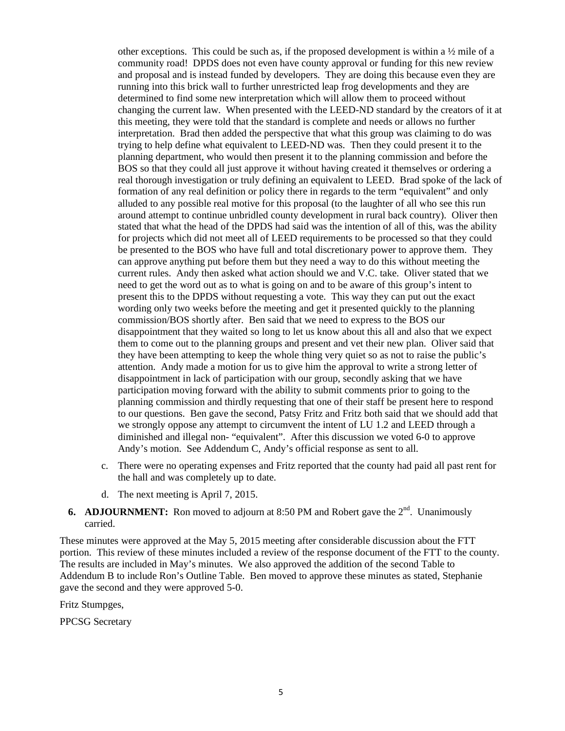other exceptions. This could be such as, if the proposed development is within a  $\frac{1}{2}$  mile of a community road! DPDS does not even have county approval or funding for this new review and proposal and is instead funded by developers. They are doing this because even they are running into this brick wall to further unrestricted leap frog developments and they are determined to find some new interpretation which will allow them to proceed without changing the current law. When presented with the LEED-ND standard by the creators of it at this meeting, they were told that the standard is complete and needs or allows no further interpretation. Brad then added the perspective that what this group was claiming to do was trying to help define what equivalent to LEED-ND was. Then they could present it to the planning department, who would then present it to the planning commission and before the BOS so that they could all just approve it without having created it themselves or ordering a real thorough investigation or truly defining an equivalent to LEED. Brad spoke of the lack of formation of any real definition or policy there in regards to the term "equivalent" and only alluded to any possible real motive for this proposal (to the laughter of all who see this run around attempt to continue unbridled county development in rural back country). Oliver then stated that what the head of the DPDS had said was the intention of all of this, was the ability for projects which did not meet all of LEED requirements to be processed so that they could be presented to the BOS who have full and total discretionary power to approve them. They can approve anything put before them but they need a way to do this without meeting the current rules. Andy then asked what action should we and V.C. take. Oliver stated that we need to get the word out as to what is going on and to be aware of this group's intent to present this to the DPDS without requesting a vote. This way they can put out the exact wording only two weeks before the meeting and get it presented quickly to the planning commission/BOS shortly after. Ben said that we need to express to the BOS our disappointment that they waited so long to let us know about this all and also that we expect them to come out to the planning groups and present and vet their new plan. Oliver said that they have been attempting to keep the whole thing very quiet so as not to raise the public's attention. Andy made a motion for us to give him the approval to write a strong letter of disappointment in lack of participation with our group, secondly asking that we have participation moving forward with the ability to submit comments prior to going to the planning commission and thirdly requesting that one of their staff be present here to respond to our questions. Ben gave the second, Patsy Fritz and Fritz both said that we should add that we strongly oppose any attempt to circumvent the intent of LU 1.2 and LEED through a diminished and illegal non- "equivalent". After this discussion we voted 6-0 to approve Andy's motion. See Addendum C, Andy's official response as sent to all.

- c. There were no operating expenses and Fritz reported that the county had paid all past rent for the hall and was completely up to date.
- d. The next meeting is April 7, 2015.

### **6. ADJOURNMENT:** Ron moved to adjourn at 8:50 PM and Robert gave the 2<sup>nd</sup>. Unanimously carried.

These minutes were approved at the May 5, 2015 meeting after considerable discussion about the FTT portion. This review of these minutes included a review of the response document of the FTT to the county. The results are included in May's minutes. We also approved the addition of the second Table to Addendum B to include Ron's Outline Table. Ben moved to approve these minutes as stated, Stephanie gave the second and they were approved 5-0.

Fritz Stumpges,

PPCSG Secretary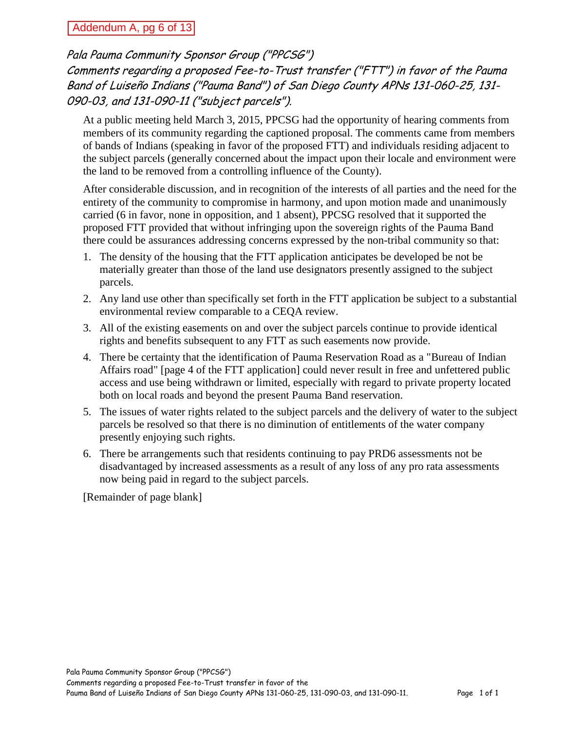## Addendum A, pg 6 of 13

# Pala Pauma Community Sponsor Group ("PPCSG") Comments regarding a proposed Fee-to-Trust transfer ("FTT") in favor of the Pauma Band of Luiseño Indians ("Pauma Band") of San Diego County APNs 131-060-25, 131- 090-03, and 131-090-11 ("subject parcels").

At a public meeting held March 3, 2015, PPCSG had the opportunity of hearing comments from members of its community regarding the captioned proposal. The comments came from members of bands of Indians (speaking in favor of the proposed FTT) and individuals residing adjacent to the subject parcels (generally concerned about the impact upon their locale and environment were the land to be removed from a controlling influence of the County).

After considerable discussion, and in recognition of the interests of all parties and the need for the entirety of the community to compromise in harmony, and upon motion made and unanimously carried (6 in favor, none in opposition, and 1 absent), PPCSG resolved that it supported the proposed FTT provided that without infringing upon the sovereign rights of the Pauma Band there could be assurances addressing concerns expressed by the non-tribal community so that:

- 1. The density of the housing that the FTT application anticipates be developed be not be materially greater than those of the land use designators presently assigned to the subject parcels.
- 2. Any land use other than specifically set forth in the FTT application be subject to a substantial environmental review comparable to a CEQA review.
- 3. All of the existing easements on and over the subject parcels continue to provide identical rights and benefits subsequent to any FTT as such easements now provide.
- 4. There be certainty that the identification of Pauma Reservation Road as a "Bureau of Indian Affairs road" [page 4 of the FTT application] could never result in free and unfettered public access and use being withdrawn or limited, especially with regard to private property located both on local roads and beyond the present Pauma Band reservation.
- 5. The issues of water rights related to the subject parcels and the delivery of water to the subject parcels be resolved so that there is no diminution of entitlements of the water company presently enjoying such rights.
- 6. There be arrangements such that residents continuing to pay PRD6 assessments not be disadvantaged by increased assessments as a result of any loss of any pro rata assessments now being paid in regard to the subject parcels.

[Remainder of page blank]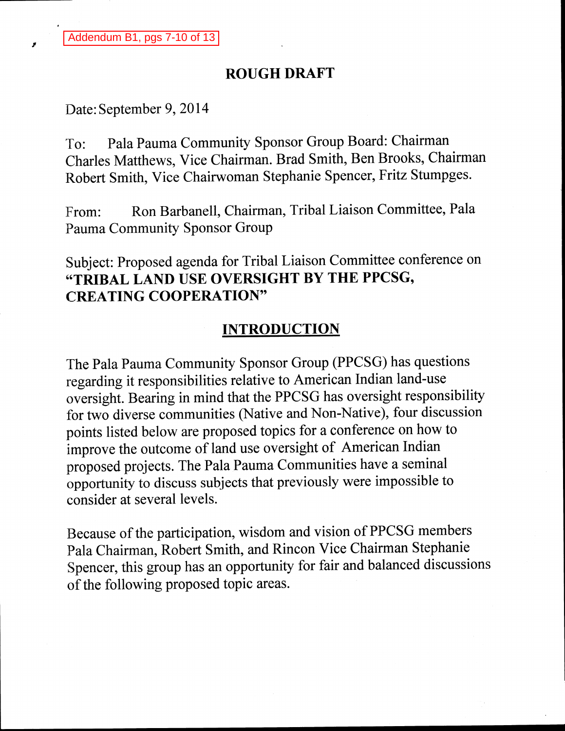# **ROUGH DRAFT**

Date: September 9, 2014

Pala Pauma Community Sponsor Group Board: Chairman To: Charles Matthews, Vice Chairman. Brad Smith, Ben Brooks, Chairman Robert Smith, Vice Chairwoman Stephanie Spencer, Fritz Stumpges.

Ron Barbanell, Chairman, Tribal Liaison Committee, Pala From: Pauma Community Sponsor Group

Subject: Proposed agenda for Tribal Liaison Committee conference on "TRIBAL LAND USE OVERSIGHT BY THE PPCSG, **CREATING COOPERATION"** 

# **INTRODUCTION**

The Pala Pauma Community Sponsor Group (PPCSG) has questions regarding it responsibilities relative to American Indian land-use oversight. Bearing in mind that the PPCSG has oversight responsibility for two diverse communities (Native and Non-Native), four discussion points listed below are proposed topics for a conference on how to improve the outcome of land use oversight of American Indian proposed projects. The Pala Pauma Communities have a seminal opportunity to discuss subjects that previously were impossible to consider at several levels.

Because of the participation, wisdom and vision of PPCSG members Pala Chairman, Robert Smith, and Rincon Vice Chairman Stephanie Spencer, this group has an opportunity for fair and balanced discussions of the following proposed topic areas.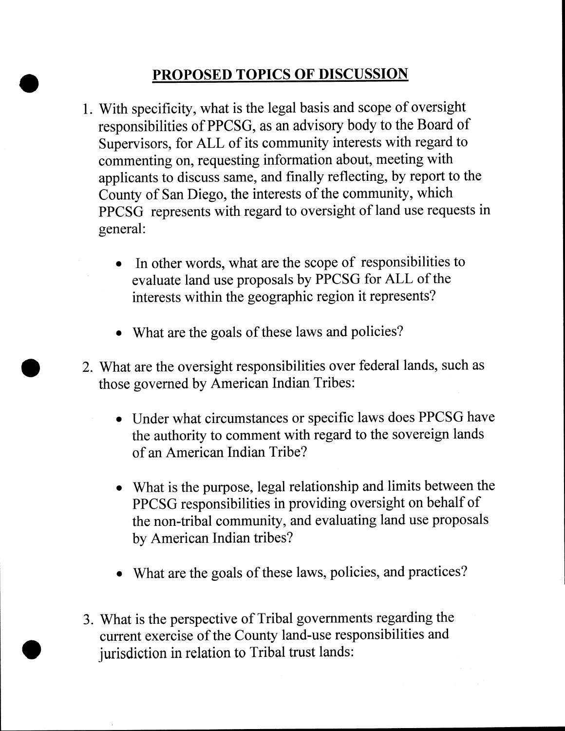# PROPOSED TOPICS OF DISCUSSION

- 1. With specificity, what is the legal basis and scope of oversight responsibilities of PPCSG, as an advisory body to the Board of Supervisors, for ALL of its community interests with regard to commenting on, requesting information about, meeting with applicants to discuss same, and finally reflecting, by report to the County of San Diego, the interests of the community, which PPCSG represents with regard to oversight of land use requests in general:
	- In other words, what are the scope of responsibilities to evaluate land use proposals by PPCSG for ALL of the interests within the geographic region it represents?
	- What are the goals of these laws and policies?
- 2. What are the oversight responsibilities over federal lands, such as those governed by American Indian Tribes:
	- Under what circumstances or specific laws does PPCSG have the authority to comment with regard to the sovereign lands of an American Indian Tribe?
	- What is the purpose, legal relationship and limits between the PPCSG responsibilities in providing oversight on behalf of the non-tribal community, and evaluating land use proposals by American Indian tribes?
	- What are the goals of these laws, policies, and practices?
- 3. What is the perspective of Tribal governments regarding the current exercise of the County land-use responsibilities and jurisdiction in relation to Tribal trust lands: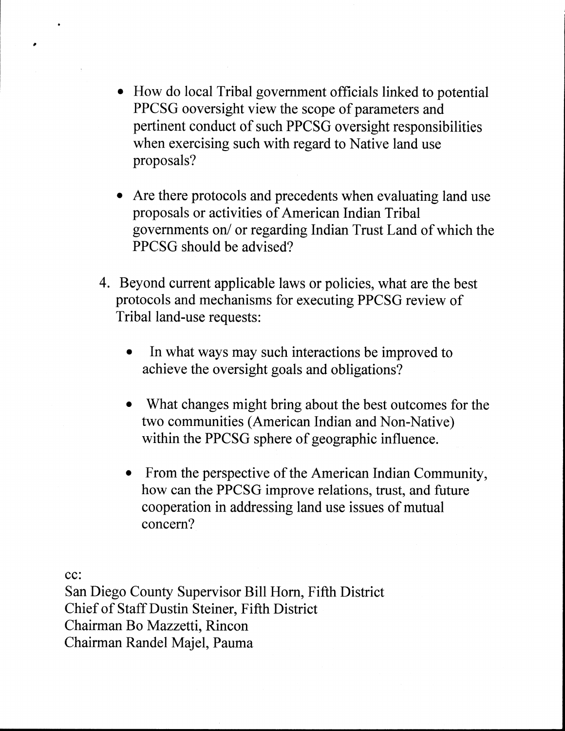- How do local Tribal government officials linked to potential PPCSG ooversight view the scope of parameters and pertinent conduct of such PPCSG oversight responsibilities when exercising such with regard to Native land use proposals?
- Are there protocols and precedents when evaluating land use proposals or activities of American Indian Tribal governments on/ or regarding Indian Trust Land of which the PPCSG should be advised?
- 4. Beyond current applicable laws or policies, what are the best protocols and mechanisms for executing PPCSG review of Tribal land-use requests:
	- In what ways may such interactions be improved to achieve the oversight goals and obligations?
	- What changes might bring about the best outcomes for the two communities (American Indian and Non-Native) within the PPCSG sphere of geographic influence.
	- From the perspective of the American Indian Community, how can the PPCSG improve relations, trust, and future cooperation in addressing land use issues of mutual concern?

cc:

 $\bullet$ 

San Diego County Supervisor Bill Horn, Fifth District Chief of Staff Dustin Steiner, Fifth District Chairman Bo Mazzetti, Rincon Chairman Randel Majel, Pauma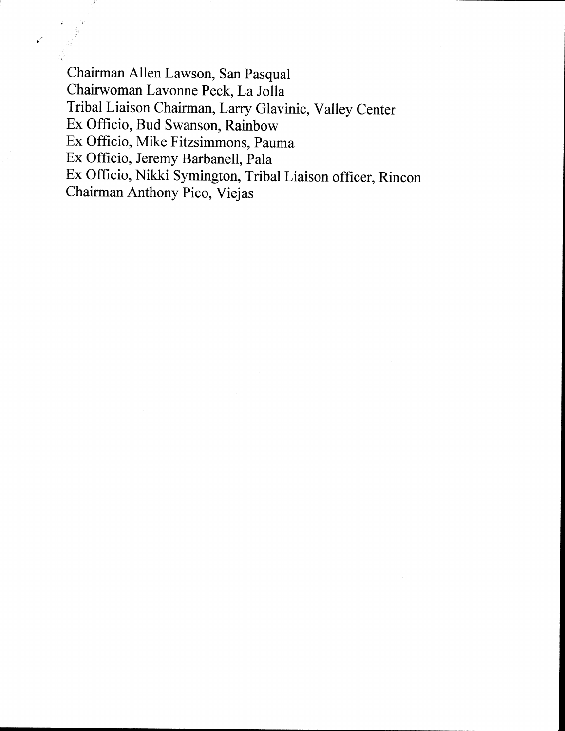Chairman Allen Lawson, San Pasqual Chairwoman Lavonne Peck, La Jolla Tribal Liaison Chairman, Larry Glavinic, Valley Center Ex Officio, Bud Swanson, Rainbow Ex Officio, Mike Fitzsimmons, Pauma Ex Officio, Jeremy Barbanell, Pala Ex Officio, Nikki Symington, Tribal Liaison officer, Rincon Chairman Anthony Pico, Viejas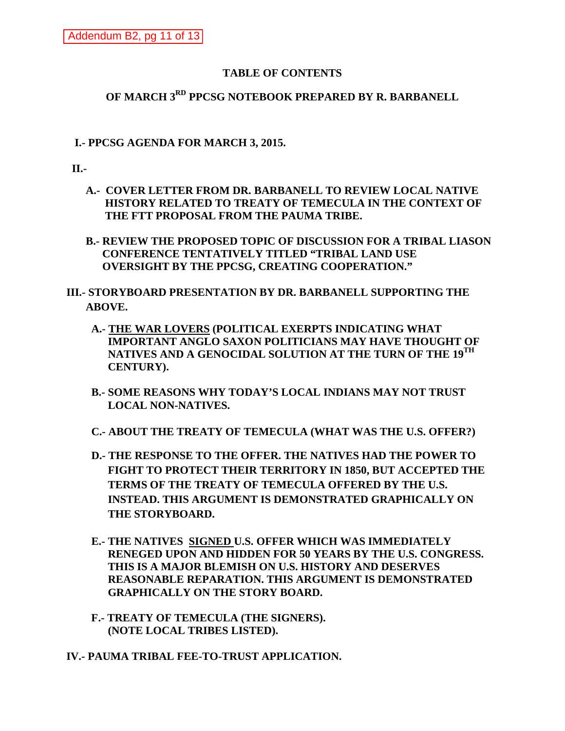### **TABLE OF CONTENTS**

## **OF MARCH 3RD PPCSG NOTEBOOK PREPARED BY R. BARBANELL**

### **I.- PPCSG AGENDA FOR MARCH 3, 2015.**

**II.-**

 **A.- COVER LETTER FROM DR. BARBANELL TO REVIEW LOCAL NATIVE HISTORY RELATED TO TREATY OF TEMECULA IN THE CONTEXT OF THE FTT PROPOSAL FROM THE PAUMA TRIBE.**

 **B.- REVIEW THE PROPOSED TOPIC OF DISCUSSION FOR A TRIBAL LIASON CONFERENCE TENTATIVELY TITLED "TRIBAL LAND USE OVERSIGHT BY THE PPCSG, CREATING COOPERATION."**

**III.- STORYBOARD PRESENTATION BY DR. BARBANELL SUPPORTING THE ABOVE.**

- **A.- THE WAR LOVERS (POLITICAL EXERPTS INDICATING WHAT IMPORTANT ANGLO SAXON POLITICIANS MAY HAVE THOUGHT OF NATIVES AND A GENOCIDAL SOLUTION AT THE TURN OF THE 19TH CENTURY).**
- **B.- SOME REASONS WHY TODAY'S LOCAL INDIANS MAY NOT TRUST LOCAL NON-NATIVES.**

 **C.- ABOUT THE TREATY OF TEMECULA (WHAT WAS THE U.S. OFFER?)**

- **D.- THE RESPONSE TO THE OFFER. THE NATIVES HAD THE POWER TO FIGHT TO PROTECT THEIR TERRITORY IN 1850, BUT ACCEPTED THE TERMS OF THE TREATY OF TEMECULA OFFERED BY THE U.S. INSTEAD. THIS ARGUMENT IS DEMONSTRATED GRAPHICALLY ON THE STORYBOARD.**
- **E.- THE NATIVES SIGNED U.S. OFFER WHICH WAS IMMEDIATELY RENEGED UPON AND HIDDEN FOR 50 YEARS BY THE U.S. CONGRESS. THIS IS A MAJOR BLEMISH ON U.S. HISTORY AND DESERVES REASONABLE REPARATION. THIS ARGUMENT IS DEMONSTRATED GRAPHICALLY ON THE STORY BOARD.**
- **F.- TREATY OF TEMECULA (THE SIGNERS). (NOTE LOCAL TRIBES LISTED).**

**IV.- PAUMA TRIBAL FEE-TO-TRUST APPLICATION.**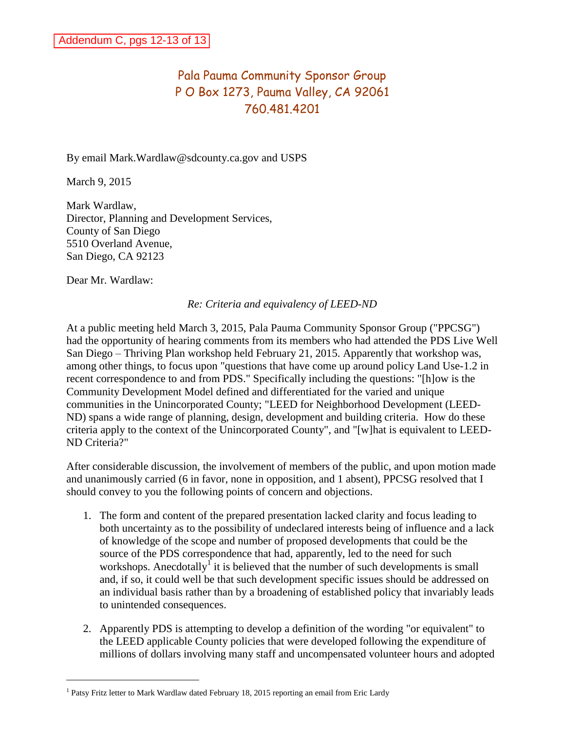# Pala Pauma Community Sponsor Group P O Box 1273, Pauma Valley, CA 92061 760.481.4201

By email Mark.Wardlaw@sdcounty.ca.gov and USPS

March 9, 2015

Mark Wardlaw, Director, Planning and Development Services, County of San Diego 5510 Overland Avenue, San Diego, CA 92123

Dear Mr. Wardlaw:

### *Re: Criteria and equivalency of LEED-ND*

At a public meeting held March 3, 2015, Pala Pauma Community Sponsor Group ("PPCSG") had the opportunity of hearing comments from its members who had attended the PDS [Live Well](http://www.sandiegocounty.gov/content/sdc/live_well_san_diego/thriving.html)  [San Diego – Thriving Plan](http://www.sandiegocounty.gov/content/sdc/live_well_san_diego/thriving.html) workshop held February 21, 2015. Apparently that workshop was, among other things, to focus upon "questions that have come up around policy Land Use-1.2 in recent correspondence to and from PDS." Specifically including the questions: "[h]ow is the Community Development Model defined and differentiated for the varied and unique communities in the Unincorporated County; "LEED for Neighborhood Development (LEED-ND) spans a wide range of planning, design, development and building criteria. How do these criteria apply to the context of the Unincorporated County", and "[w]hat is equivalent to LEED-ND Criteria?"

After considerable discussion, the involvement of members of the public, and upon motion made and unanimously carried (6 in favor, none in opposition, and 1 absent), PPCSG resolved that I should convey to you the following points of concern and objections.

- 1. The form and content of the prepared presentation lacked clarity and focus leading to both uncertainty as to the possibility of undeclared interests being of influence and a lack of knowledge of the scope and number of proposed developments that could be the source of the PDS correspondence that had, apparently, led to the need for such workshops. Anecdotally<sup> $\int$ </sup> it is believed that the number of such developments is small and, if so, it could well be that such development specific issues should be addressed on an individual basis rather than by a broadening of established policy that invariably leads to unintended consequences.
- 2. Apparently PDS is attempting to develop a definition of the wording "or equivalent" to the LEED applicable County policies that were developed following the expenditure of millions of dollars involving many staff and uncompensated volunteer hours and adopted

<sup>&</sup>lt;sup>1</sup> Patsy Fritz letter to Mark Wardlaw dated February 18, 2015 reporting an email from Eric Lardy